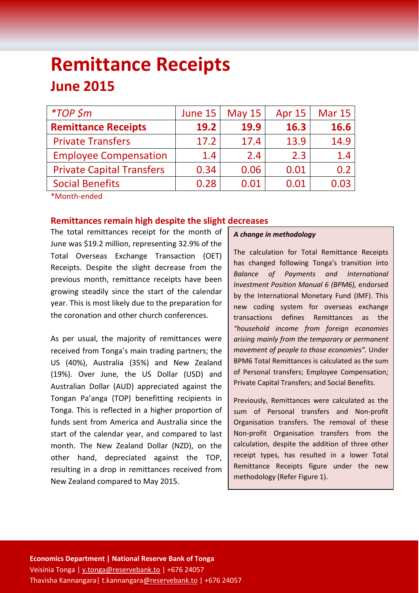# **Remittance Receipts June 2015**

| $*TOP$ \$m                       | June 15 | <b>May 15</b> | <b>Apr 15</b> | <b>Mar 15</b> |
|----------------------------------|---------|---------------|---------------|---------------|
| <b>Remittance Receipts</b>       | 19.2    | 19.9          | 16.3          | 16.6          |
| <b>Private Transfers</b>         | 17.2    | 17.4          | 13.9          | 14.9          |
| <b>Employee Compensation</b>     | 1.4     | 2.4           | 2.3           | 1.4           |
| <b>Private Capital Transfers</b> | 0.34    | 0.06          | 0.01          | 0.2           |
| <b>Social Benefits</b>           | 0.28    | 0.01          | 0.01          | 0.03          |
| *Month-ended                     |         |               |               |               |

# **Remittances remain high despite the slight decreases**

The total remittances receipt for the month of June was \$19.2 million, representing 32.9% of the Total Overseas Exchange Transaction (OET) Receipts. Despite the slight decrease from the previous month, remittance receipts have been growing steadily since the start of the calendar year. This is most likely due to the preparation for the coronation and other church conferences.

As per usual, the majority of remittances were received from Tonga's main trading partners; the US (40%), Australia (35%) and New Zealand (19%). Over June, the US Dollar (USD) and Australian Dollar (AUD) appreciated against the Tongan Pa'anga (TOP) benefitting recipients in Tonga. This is reflected in a higher proportion of funds sent from America and Australia since the start of the calendar year, and compared to last month. The New Zealand Dollar (NZD), on the other hand, depreciated against the TOP, resulting in a drop in remittances received from New Zealand compared to May 2015.

# *A change in methodology*

The calculation for Total Remittance Receipts has changed following Tonga's transition into *Balance of Payments and International Investment Position Manual 6 (BPM6),* endorsed by the International Monetary Fund (IMF). This new coding system for overseas exchange transactions defines Remittances as the *"household income from foreign economies arising mainly from the temporary or permanent movement of people to those economies".* Under BPM6 Total Remittances is calculated as the sum of Personal transfers; Employee Compensation; Private Capital Transfers; and Social Benefits.

Previously, Remittances were calculated as the sum of Personal transfers and Non-profit Organisation transfers. The removal of these Non-profit Organisation transfers from the calculation, despite the addition of three other receipt types, has resulted in a lower Total Remittance Receipts figure under the new methodology (Refer Figure 1).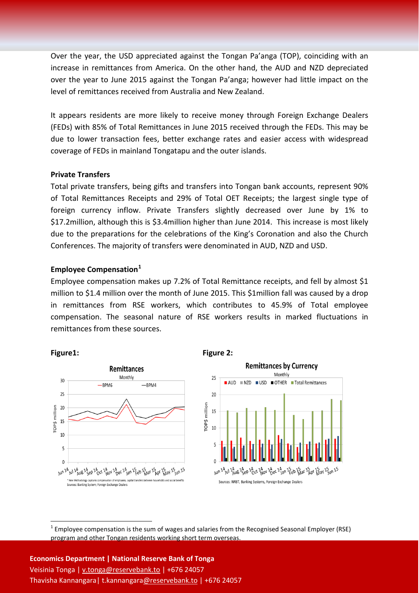Over the year, the USD appreciated against the Tongan Pa'anga (TOP), coinciding with an increase in remittances from America. On the other hand, the AUD and NZD depreciated over the year to June 2015 against the Tongan Pa'anga; however had little impact on the level of remittances received from Australia and New Zealand.

It appears residents are more likely to receive money through Foreign Exchange Dealers (FEDs) with 85% of Total Remittances in June 2015 received through the FEDs. This may be due to lower transaction fees, better exchange rates and easier access with widespread coverage of FEDs in mainland Tongatapu and the outer islands.

### **Private Transfers**

Total private transfers, being gifts and transfers into Tongan bank accounts, represent 90% of Total Remittances Receipts and 29% of Total OET Receipts; the largest single type of foreign currency inflow. Private Transfers slightly decreased over June by 1% to \$17.2million, although this is \$3.4million higher than June 2014. This increase is most likely due to the preparations for the celebrations of the King's Coronation and also the Church Conferences. The majority of transfers were denominated in AUD, NZD and USD.

# **Employee Compensation[1](#page-1-0)**

Employee compensation makes up 7.2% of Total Remittance receipts, and fell by almost \$1 million to \$1.4 million over the month of June 2015. This \$1million fall was caused by a drop in remittances from RSE workers, which contributes to 45.9% of Total employee compensation. The seasonal nature of RSE workers results in marked fluctuations in remittances from these sources.



**Figure1: Figure 2:**



<span id="page-1-0"></span> $1$  Employee compensation is the sum of wages and salaries from the Recognised Seasonal Employer (RSE) program and other Tongan residents working short term overseas.